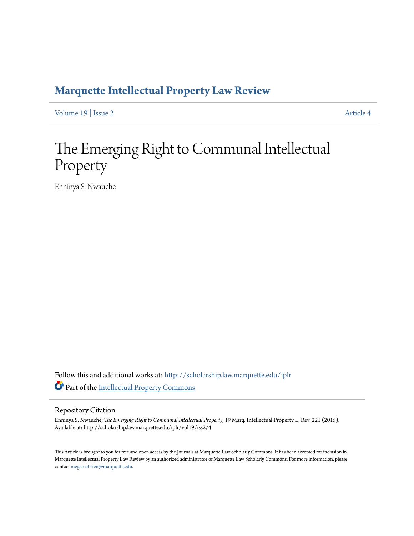# **[Marquette Intellectual Property Law Review](http://scholarship.law.marquette.edu/iplr?utm_source=scholarship.law.marquette.edu%2Fiplr%2Fvol19%2Fiss2%2F4&utm_medium=PDF&utm_campaign=PDFCoverPages)**

[Volume 19](http://scholarship.law.marquette.edu/iplr/vol19?utm_source=scholarship.law.marquette.edu%2Fiplr%2Fvol19%2Fiss2%2F4&utm_medium=PDF&utm_campaign=PDFCoverPages) | [Issue 2](http://scholarship.law.marquette.edu/iplr/vol19/iss2?utm_source=scholarship.law.marquette.edu%2Fiplr%2Fvol19%2Fiss2%2F4&utm_medium=PDF&utm_campaign=PDFCoverPages) [Article 4](http://scholarship.law.marquette.edu/iplr/vol19/iss2/4?utm_source=scholarship.law.marquette.edu%2Fiplr%2Fvol19%2Fiss2%2F4&utm_medium=PDF&utm_campaign=PDFCoverPages)

# The Emerging Right to Communal Intellectual Property

Enninya S. Nwauche

Follow this and additional works at: [http://scholarship.law.marquette.edu/iplr](http://scholarship.law.marquette.edu/iplr?utm_source=scholarship.law.marquette.edu%2Fiplr%2Fvol19%2Fiss2%2F4&utm_medium=PDF&utm_campaign=PDFCoverPages) Part of the [Intellectual Property Commons](http://network.bepress.com/hgg/discipline/896?utm_source=scholarship.law.marquette.edu%2Fiplr%2Fvol19%2Fiss2%2F4&utm_medium=PDF&utm_campaign=PDFCoverPages)

#### Repository Citation

Enninya S. Nwauche, *The Emerging Right to Communal Intellectual Property*, 19 Marq. Intellectual Property L. Rev. 221 (2015). Available at: http://scholarship.law.marquette.edu/iplr/vol19/iss2/4

This Article is brought to you for free and open access by the Journals at Marquette Law Scholarly Commons. It has been accepted for inclusion in Marquette Intellectual Property Law Review by an authorized administrator of Marquette Law Scholarly Commons. For more information, please contact [megan.obrien@marquette.edu.](mailto:megan.obrien@marquette.edu)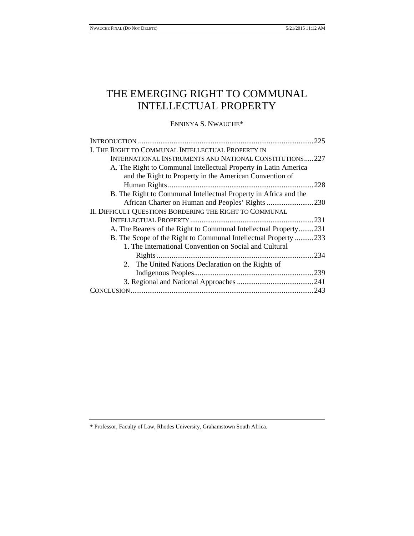# THE EMERGING RIGHT TO COMMUNAL INTELLECTUAL PROPERTY

ENNINYA S. NWAUCHE\*

<sup>\*</sup> Professor, Faculty of Law, Rhodes University, Grahamstown South Africa.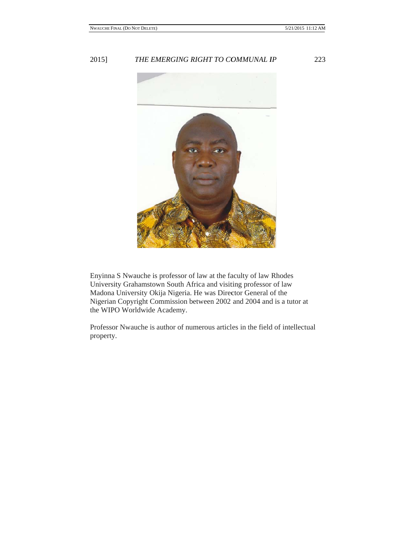

Enyinna S Nwauche is professor of law at the faculty of law Rhodes University Grahamstown South Africa and visiting professor of law Madona University Okija Nigeria. He was Director General of the Nigerian Copyright Commission between 2002 and 2004 and is a tutor at the WIPO Worldwide Academy.

Professor Nwauche is author of numerous articles in the field of intellectual property.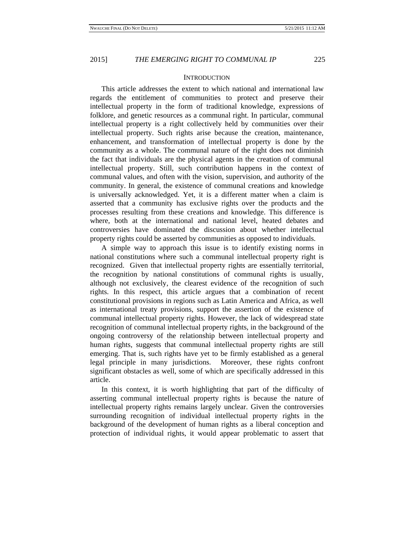#### **INTRODUCTION**

This article addresses the extent to which national and international law regards the entitlement of communities to protect and preserve their intellectual property in the form of traditional knowledge, expressions of folklore, and genetic resources as a communal right. In particular, communal intellectual property is a right collectively held by communities over their intellectual property. Such rights arise because the creation, maintenance, enhancement, and transformation of intellectual property is done by the community as a whole. The communal nature of the right does not diminish the fact that individuals are the physical agents in the creation of communal intellectual property. Still, such contribution happens in the context of communal values, and often with the vision, supervision, and authority of the community. In general, the existence of communal creations and knowledge is universally acknowledged. Yet, it is a different matter when a claim is asserted that a community has exclusive rights over the products and the processes resulting from these creations and knowledge. This difference is where, both at the international and national level, heated debates and controversies have dominated the discussion about whether intellectual property rights could be asserted by communities as opposed to individuals.

A simple way to approach this issue is to identify existing norms in national constitutions where such a communal intellectual property right is recognized. Given that intellectual property rights are essentially territorial, the recognition by national constitutions of communal rights is usually, although not exclusively, the clearest evidence of the recognition of such rights. In this respect, this article argues that a combination of recent constitutional provisions in regions such as Latin America and Africa, as well as international treaty provisions, support the assertion of the existence of communal intellectual property rights. However, the lack of widespread state recognition of communal intellectual property rights, in the background of the ongoing controversy of the relationship between intellectual property and human rights, suggests that communal intellectual property rights are still emerging. That is, such rights have yet to be firmly established as a general legal principle in many jurisdictions. Moreover, these rights confront significant obstacles as well, some of which are specifically addressed in this article.

In this context, it is worth highlighting that part of the difficulty of asserting communal intellectual property rights is because the nature of intellectual property rights remains largely unclear. Given the controversies surrounding recognition of individual intellectual property rights in the background of the development of human rights as a liberal conception and protection of individual rights, it would appear problematic to assert that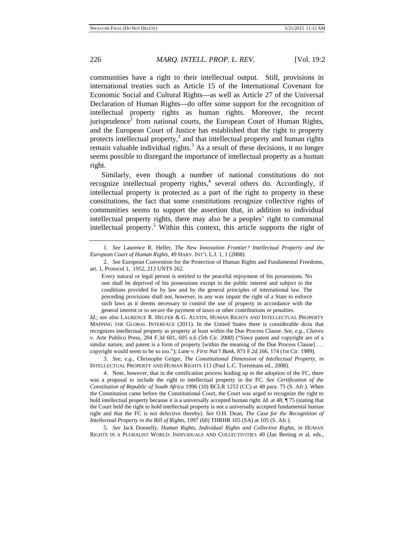communities have a right to their intellectual output. Still, provisions in international treaties such as Article 15 of the International Covenant for Economic Social and Cultural Rights—as well as Article 27 of the Universal Declaration of Human Rights—do offer some support for the recognition of intellectual property rights as human rights. Moreover, the recent jurisprudence<sup>1</sup> from national courts, the European Court of Human Rights, and the European Court of Justice has established that the right to property protects intellectual property, $2$  and that intellectual property and human rights remain valuable individual rights.<sup>3</sup> As a result of these decisions, it no longer seems possible to disregard the importance of intellectual property as a human right.

Similarly, even though a number of national constitutions do not recognize intellectual property rights, $4$  several others do. Accordingly, if intellectual property is protected as a part of the right to property in these constitutions, the fact that some constitutions recognize collective rights of communities seems to support the assertion that, in addition to individual intellectual property rights, there may also be a peoples' right to communal intellectual property.<sup>5</sup> Within this context, this article supports the right of

*Id.*; *see also* LAURENCE R. HELFER & G. AUSTIN, HUMAN RIGHTS AND INTELLECTUAL PROPERTY MAPPING THE GLOBAL INTERFACE (2011). In the United States there is considerable dicta that recognizes intellectual property as property at least within the Due Process Clause. *See, e.g.,* Chavez v. Arte Publico Press, 204 F.3d 601, 605 n.6 (5th Cir. 2000) ("Since patent and copyright are of a similar nature, and patent is a form of property [within the meaning of the Due Process Clause]... copyright would seem to be so too."); *Lane v. First Nat'l Bank,* 871 F.2d 166, 174 (1st Cir. 1989).

3*. See, e.g.,* Christophe Geiger, *The Constitutional Dimension of Intellectual Property*, *in*  INTELLECTUAL PROPERTY AND HUMAN RIGHTS 111 (Paul L.C. Torremans ed., 2008).

4. Note, however, that in the certification process leading up to the adoption of the FC, there was a proposal to include the right to intellectual property in the FC. *See Certification of the Constitution of Republic of South Africa* 1996 (10) BCLR 1253 (CC) at 48 para. 75 (S. Afr.). When the Constitution came before the Constitutional Court, the Court was urged to recognize the right to hold intellectual property because it is a universally accepted human right. *Id.* at 48,  $\sqrt{q}$  75 (stating that the Court held the right to hold intellectual property is not a universally accepted fundamental human right and that the FC is not defective thereby). *See* O.H. Dean, *The Case for the Recognition of Intellectual Property in the Bill of Rights*, 1997 (60) THRHR 105 (SA) at 105 (S. Afr.).

5. *See* Jack Donnelly, *Human Rights, Individual Rights and Collective Rights*, *in* HUMAN RIGHTS IN A PLURALIST WORLD: INDIVIDUALS AND COLLECTIVITIES 49 (Jan Berting et al. eds.,

<sup>1.</sup> *See* Laurence R. Helfer, *The New Innovation Frontier? Intellectual Property and the European Court of Human Rights*, 49 HARV. INT'L L.J. 1, 1 (2008).

<sup>2.</sup> *See* European Convention for the Protection of Human Rights and Fundamental Freedoms, art. 1, Protocol 1, 1952, 213 UNTS 262.

Every natural or legal person is entitled to the peaceful enjoyment of his possessions. No one shall be deprived of his possessions except in the public interest and subject to the conditions provided for by law and by the general principles of international law. The preceding provisions shall not, however, in any way impair the right of a State to enforce such laws as it deems necessary to control the use of property in accordance with the general interest or to secure the payment of taxes or other contributions or penalties.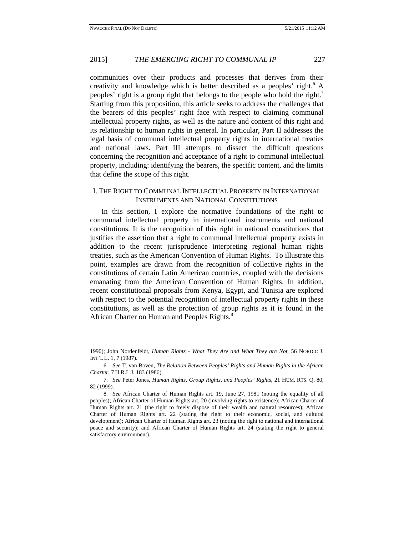communities over their products and processes that derives from their creativity and knowledge which is better described as a peoples' right.<sup>6</sup> A peoples' right is a group right that belongs to the people who hold the right.<sup>7</sup> Starting from this proposition, this article seeks to address the challenges that the bearers of this peoples' right face with respect to claiming communal intellectual property rights, as well as the nature and content of this right and its relationship to human rights in general. In particular, Part II addresses the legal basis of communal intellectual property rights in international treaties and national laws. Part III attempts to dissect the difficult questions concerning the recognition and acceptance of a right to communal intellectual property, including: identifying the bearers, the specific content, and the limits that define the scope of this right.

## I. THE RIGHT TO COMMUNAL INTELLECTUAL PROPERTY IN INTERNATIONAL INSTRUMENTS AND NATIONAL CONSTITUTIONS

In this section, I explore the normative foundations of the right to communal intellectual property in international instruments and national constitutions. It is the recognition of this right in national constitutions that justifies the assertion that a right to communal intellectual property exists in addition to the recent jurisprudence interpreting regional human rights treaties, such as the American Convention of Human Rights. To illustrate this point, examples are drawn from the recognition of collective rights in the constitutions of certain Latin American countries, coupled with the decisions emanating from the American Convention of Human Rights. In addition, recent constitutional proposals from Kenya, Egypt, and Tunisia are explored with respect to the potential recognition of intellectual property rights in these constitutions, as well as the protection of group rights as it is found in the African Charter on Human and Peoples Rights.<sup>8</sup>

<sup>1990);</sup> John Nordenfeldt, *Human Rights - What They Are and What They are Not*, 56 NORDIC J. INT'L L. 1, 7 (1987).

<sup>6</sup>*. See* T. van Boven, *The Relation Between Peoples' Rights and Human Rights in the African Charter*, 7 H.R.L.J. 183 (1986).

<sup>7.</sup> *See* Peter Jones, *Human Rights, Group Rights, and Peoples' Rights*, 21 HUM. RTS. Q. 80, 82 (1999).

<sup>8.</sup> *See* African Charter of Human Rights art. 19, June 27, 1981 (noting the equality of all peoples); African Charter of Human Rights art. 20 (involving rights to existence); African Charter of Human Rights art. 21 (the right to freely dispose of their wealth and natural resources); African Charter of Human Rights art. 22 (stating the right to their economic, social, and cultural development); African Charter of Human Rights art. 23 (noting the right to national and international peace and security); and African Charter of Human Rights art. 24 (stating the right to general satisfactory environment).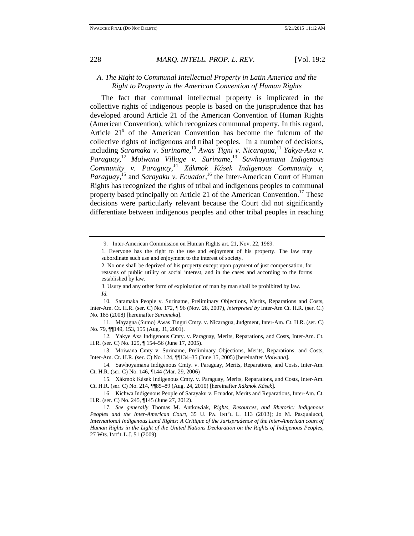# *A. The Right to Communal Intellectual Property in Latin America and the Right to Property in the American Convention of Human Rights*

The fact that communal intellectual property is implicated in the collective rights of indigenous people is based on the jurisprudence that has developed around Article 21 of the American Convention of Human Rights (American Convention), which recognizes communal property. In this regard, Article  $21^9$  of the American Convention has become the fulcrum of the collective rights of indigenous and tribal peoples. In a number of decisions, including *Saramaka v. Suriname,*<sup>10</sup> *Awas Tigni v. Nicaragua*, <sup>11</sup> *Yakya-Axa v. Paraguay,*<sup>12</sup> *Moiwana Village v. Suriname,*<sup>13</sup> *Sawhoyamaxa Indigenous Community v. Paraguay,*<sup>14</sup> *Xákmok Kásek Indigenous Community v, Paraguay*,<sup>15</sup> and *Sarayaku v. Ecuador*,<sup>16</sup> the Inter-American Court of Human Rights has recognized the rights of tribal and indigenous peoples to communal property based principally on Article 21 of the American Convention.<sup>17</sup> These decisions were particularly relevant because the Court did not significantly differentiate between indigenous peoples and other tribal peoples in reaching

11. Mayagna (Sumo) Awas Tingni Cmty. v. Nicaragua, Judgment, Inter-Am. Ct. H.R. (ser. C) No. 79, ¶¶149, 153, 155 (Aug. 31, 2001).

12. Yakye Axa Indigenous Cmty. v. Paraguay*,* Merits, Reparations, and Costs, Inter-Am. Ct. H.R. (ser. C) No. 125, ¶ 154–56 (June 17, 2005).

13. Moiwana Cmty v. Suriname, Preliminary Objections, Merits, Reparations, and Costs, Inter-Am. Ct. H.R. (ser. C) No. 124, ¶¶134–35 (June 15, 2005) [hereinafter *Moiwana*].

14. Sawhoyamaxa Indigenous Cmty. v. Paraguay, Merits, Reparations, and Costs, Inter-Am. Ct. H.R. (ser. C) No. 146, ¶144 (Mar. 29, 2006)

15. Xákmok Kásek Indigenous Cmty. v. Paraguay, Merits, Reparations, and Costs, Inter-Am. Ct. H.R. (ser. C) No. 214, ¶¶85–89 (Aug. 24, 2010) [hereinafter *Xákmok Kásek*].

17. *See generally* Thomas M. Antkowiak, *Rights, Resources, and Rhetoric: Indigenous Peoples and the Inter-American Court*, 35 U. PA. INT'L L. 113 (2013); Jo M. Pasqualucci, *International Indigenous Land Rights: A Critique of the Jurisprudence of the Inter-American court of Human Rights in the Light of the United Nations Declaration on the Rights of Indigenous Peoples*, 27 WIS. INT'L L.J. 51 (2009).

<sup>9.</sup> Inter-American Commission on Human Rights art. 21, Nov. 22, 1969.

<sup>1.</sup> Everyone has the right to the use and enjoyment of his property. The law may subordinate such use and enjoyment to the interest of society.

<sup>2.</sup> No one shall be deprived of his property except upon payment of just compensation, for reasons of public utility or social interest, and in the cases and according to the forms established by law.

<sup>3.</sup> Usury and any other form of exploitation of man by man shall be prohibited by law. *Id.* 

<sup>10.</sup> Saramaka People v. Suriname, Preliminary Objections, Merits, Reparations and Costs, Inter-Am. Ct. H.R. (ser. C) No. 172, ¶ 96 (Nov. 28, 2007), *interpreted by* Inter-Am Ct. H.R. (ser. C.) No. 185 (2008) [hereinafter *Saramaka*].

<sup>16.</sup> Kichwa Indigenous People of Sarayaku v. Ecuador, Merits and Reparations, Inter-Am. Ct. H.R. (ser. C) No. 245, ¶145 (June 27, 2012).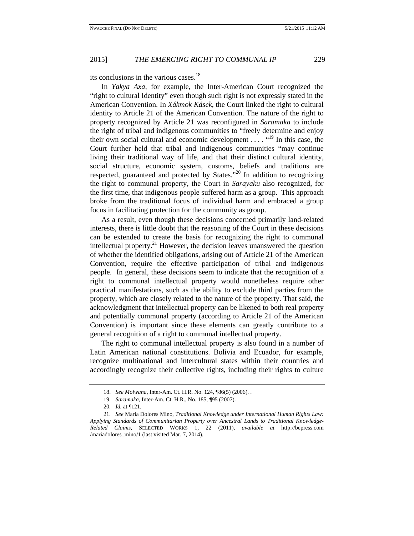its conclusions in the various cases.<sup>18</sup>

In *Yakya Axa*, for example, the Inter-American Court recognized the "right to cultural Identity" even though such right is not expressly stated in the American Convention. In *Xákmok Kásek*, the Court linked the right to cultural identity to Article 21 of the American Convention. The nature of the right to property recognized by Article 21 was reconfigured in *Saramaka* to include the right of tribal and indigenous communities to "freely determine and enjoy their own social cultural and economic development  $\dots$ .  $\cdot$  <sup>(19</sup>) In this case, the Court further held that tribal and indigenous communities "may continue living their traditional way of life, and that their distinct cultural identity, social structure, economic system, customs, beliefs and traditions are respected, guaranteed and protected by States."<sup>20</sup> In addition to recognizing the right to communal property, the Court in *Sarayaku* also recognized, for the first time, that indigenous people suffered harm as a group. This approach broke from the traditional focus of individual harm and embraced a group focus in facilitating protection for the community as group.

As a result, even though these decisions concerned primarily land-related interests, there is little doubt that the reasoning of the Court in these decisions can be extended to create the basis for recognizing the right to communal intellectual property.<sup>21</sup> However, the decision leaves unanswered the question of whether the identified obligations, arising out of Article 21 of the American Convention, require the effective participation of tribal and indigenous people. In general, these decisions seem to indicate that the recognition of a right to communal intellectual property would nonetheless require other practical manifestations, such as the ability to exclude third parties from the property, which are closely related to the nature of the property. That said, the acknowledgment that intellectual property can be likened to both real property and potentially communal property (according to Article 21 of the American Convention) is important since these elements can greatly contribute to a general recognition of a right to communal intellectual property.

The right to communal intellectual property is also found in a number of Latin American national constitutions. Bolivia and Ecuador, for example, recognize multinational and intercultural states within their countries and accordingly recognize their collective rights, including their rights to culture

<sup>18.</sup> *See Moiwana*, Inter-Am. Ct. H.R. No. 124, ¶86(5) (2006). .

<sup>19.</sup> *Saramaka*, Inter-Am. Ct. H.R., No. 185, ¶95 (2007).

<sup>20.</sup> *Id.* at ¶121.

<sup>21.</sup> *See* Maria Dolores Mino, *Traditional Knowledge under International Human Rights Law: Applying Standards of Communitarian Property over Ancestral Lands to Traditional Knowledge-Related Claims*, SELECTED WORKS 1, 22 (2011), *available at* http://bepress.com /mariadolores\_mino/1 (last visited Mar. 7, 2014).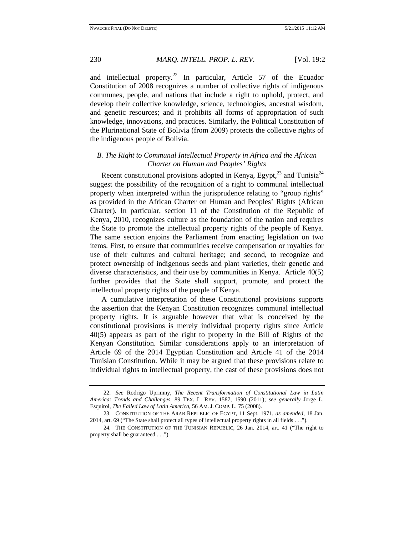and intellectual property.<sup>22</sup> In particular, Article 57 of the Ecuador Constitution of 2008 recognizes a number of collective rights of indigenous communes, people, and nations that include a right to uphold, protect, and develop their collective knowledge, science, technologies, ancestral wisdom, and genetic resources; and it prohibits all forms of appropriation of such knowledge, innovations, and practices. Similarly, the Political Constitution of the Plurinational State of Bolivia (from 2009) protects the collective rights of the indigenous people of Bolivia.

# *B. The Right to Communal Intellectual Property in Africa and the African Charter on Human and Peoples' Rights*

Recent constitutional provisions adopted in Kenya, Egypt,  $^{23}$  and Tunisia<sup>24</sup> suggest the possibility of the recognition of a right to communal intellectual property when interpreted within the jurisprudence relating to "group rights" as provided in the African Charter on Human and Peoples' Rights (African Charter). In particular, section 11 of the Constitution of the Republic of Kenya, 2010, recognizes culture as the foundation of the nation and requires the State to promote the intellectual property rights of the people of Kenya. The same section enjoins the Parliament from enacting legislation on two items. First, to ensure that communities receive compensation or royalties for use of their cultures and cultural heritage; and second, to recognize and protect ownership of indigenous seeds and plant varieties, their genetic and diverse characteristics, and their use by communities in Kenya. Article 40(5) further provides that the State shall support, promote, and protect the intellectual property rights of the people of Kenya.

A cumulative interpretation of these Constitutional provisions supports the assertion that the Kenyan Constitution recognizes communal intellectual property rights. It is arguable however that what is conceived by the constitutional provisions is merely individual property rights since Article 40(5) appears as part of the right to property in the Bill of Rights of the Kenyan Constitution. Similar considerations apply to an interpretation of Article 69 of the 2014 Egyptian Constitution and Article 41 of the 2014 Tunisian Constitution. While it may be argued that these provisions relate to individual rights to intellectual property, the cast of these provisions does not

<sup>22.</sup> *See* Rodrigo Uprimny, *The Recent Transformation of Constitutional Law in Latin America: Trends and Challenges*, 89 TEX. L. REV. 1587, 1590 (2011); *see generally* Jorge L. Esquirol, *The Failed Law of Latin America*, 56 AM. J. COMP. L. 75 (2008).

<sup>23.</sup> CONSTITUTION OF THE ARAB REPUBLIC OF EGYPT, 11 Sept. 1971, *as amended*, 18 Jan. 2014, art. 69 ("The State shall protect all types of intellectual property rights in all fields . . .").

<sup>24.</sup> THE CONSTITUTION OF THE TUNISIAN REPUBLIC, 26 Jan. 2014, art. 41 ("The right to property shall be guaranteed . . .").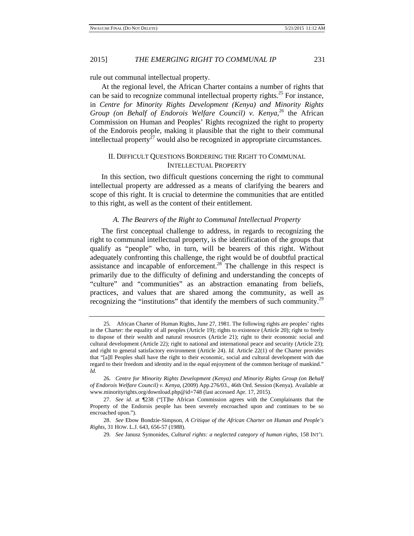rule out communal intellectual property.

At the regional level, the African Charter contains a number of rights that can be said to recognize communal intellectual property rights.<sup>25</sup> For instance, in *Centre for Minority Rights Development (Kenya) and Minority Rights Group (on Behalf of Endorois Welfare Council) v. Kenya*,<sup>26</sup> the African Commission on Human and Peoples' Rights recognized the right to property of the Endorois people, making it plausible that the right to their communal intellectual property<sup>27</sup> would also be recognized in appropriate circumstances.

# II. DIFFICULT QUESTIONS BORDERING THE RIGHT TO COMMUNAL INTELLECTUAL PROPERTY

In this section, two difficult questions concerning the right to communal intellectual property are addressed as a means of clarifying the bearers and scope of this right. It is crucial to determine the communities that are entitled to this right, as well as the content of their entitlement.

#### *A. The Bearers of the Right to Communal Intellectual Property*

The first conceptual challenge to address, in regards to recognizing the right to communal intellectual property, is the identification of the groups that qualify as "people" who, in turn, will be bearers of this right. Without adequately confronting this challenge, the right would be of doubtful practical assistance and incapable of enforcement. $^{28}$  The challenge in this respect is primarily due to the difficulty of defining and understanding the concepts of "culture" and "communities" as an abstraction emanating from beliefs, practices, and values that are shared among the community, as well as recognizing the "institutions" that identify the members of such community.<sup>29</sup>

<sup>25.</sup> African Charter of Human Rights, June 27, 1981. The following rights are peoples' rights in the Charter: the equality of all peoples (Article 19); rights to existence (Article 20); right to freely to dispose of their wealth and natural resources (Article 21); right to their economic social and cultural development (Article 22); right to national and international peace and security (Article 23); and right to general satisfactory environment (Article 24). *Id.* Article 22(1) of the Charter provides that "[a]ll Peoples shall have the right to their economic, social and cultural development with due regard to their freedom and identity and in the equal enjoyment of the common heritage of mankind." *Id.*

<sup>26.</sup> *Centre for Minority Rights Development (Kenya) and Minority Rights Group (on Behalf of Endorois Welfare Council) v. Kenya*, (2009) App.276/03., 46th Ord. Session (Kenya). Available at www.minorityrights.org/download.php@id=748 (last accessed Apr. 17, 2015).

<sup>27.</sup> *See id.* at ¶238 ("[T]he African Commission agrees with the Complainants that the Property of the Endorois people has been severely encroached upon and continues to be so encroached upon.").

<sup>28.</sup> *See* Ebow Bondzie-Simpson, *A Critique of the African Charter on Human and People's Rights*, 31 HOW. L.J. 643, 656-57 (1988).

<sup>29.</sup> *See* Janusz Symonides, *Cultural rights: a neglected category of human rights*, 158 INT'L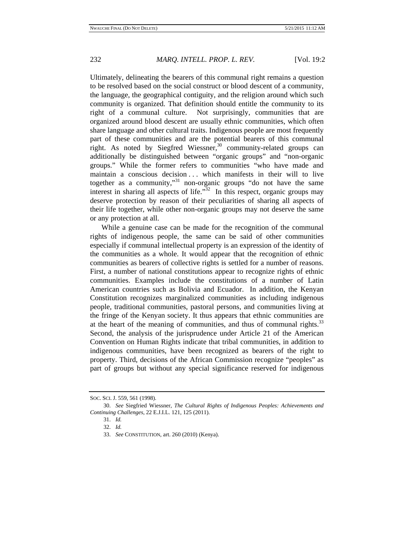Ultimately, delineating the bearers of this communal right remains a question to be resolved based on the social construct or blood descent of a community, the language, the geographical contiguity, and the religion around which such community is organized. That definition should entitle the community to its right of a communal culture. Not surprisingly, communities that are organized around blood descent are usually ethnic communities, which often share language and other cultural traits. Indigenous people are most frequently part of these communities and are the potential bearers of this communal right. As noted by Siegfred Wiessner,  $30$  community-related groups can additionally be distinguished between "organic groups" and "non-organic groups." While the former refers to communities "who have made and maintain a conscious decision ... which manifests in their will to live together as a community,"31 non-organic groups "do not have the same interest in sharing all aspects of life.<sup>33</sup> In this respect, organic groups may deserve protection by reason of their peculiarities of sharing all aspects of their life together, while other non-organic groups may not deserve the same or any protection at all.

While a genuine case can be made for the recognition of the communal rights of indigenous people, the same can be said of other communities especially if communal intellectual property is an expression of the identity of the communities as a whole. It would appear that the recognition of ethnic communities as bearers of collective rights is settled for a number of reasons. First, a number of national constitutions appear to recognize rights of ethnic communities. Examples include the constitutions of a number of Latin American countries such as Bolivia and Ecuador. In addition, the Kenyan Constitution recognizes marginalized communities as including indigenous people, traditional communities, pastoral persons, and communities living at the fringe of the Kenyan society. It thus appears that ethnic communities are at the heart of the meaning of communities, and thus of communal rights.<sup>33</sup> Second, the analysis of the jurisprudence under Article 21 of the American Convention on Human Rights indicate that tribal communities, in addition to indigenous communities, have been recognized as bearers of the right to property. Third, decisions of the African Commission recognize "peoples" as part of groups but without any special significance reserved for indigenous

SOC. SCI. J. 559, 561 (1998).

<sup>30.</sup> *See* Siegfried Wiessner, *The Cultural Rights of Indigenous Peoples: Achievements and Continuing Challenges*, 22 E.J.I.L. 121, 125 (2011).

<sup>31.</sup> *Id.*

<sup>32.</sup> *Id.*

<sup>33.</sup> *See* CONSTITUTION, art. 260 (2010) (Kenya).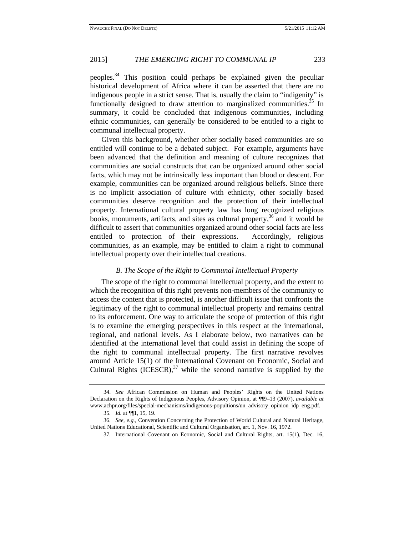peoples.34 This position could perhaps be explained given the peculiar historical development of Africa where it can be asserted that there are no indigenous people in a strict sense. That is, usually the claim to "indigenity" is functionally designed to draw attention to marginalized communities.<sup>35</sup> In summary, it could be concluded that indigenous communities, including ethnic communities, can generally be considered to be entitled to a right to communal intellectual property.

Given this background, whether other socially based communities are so entitled will continue to be a debated subject. For example, arguments have been advanced that the definition and meaning of culture recognizes that communities are social constructs that can be organized around other social facts, which may not be intrinsically less important than blood or descent. For example, communities can be organized around religious beliefs. Since there is no implicit association of culture with ethnicity, other socially based communities deserve recognition and the protection of their intellectual property. International cultural property law has long recognized religious books, monuments, artifacts, and sites as cultural property,<sup>36</sup> and it would be difficult to assert that communities organized around other social facts are less entitled to protection of their expressions. Accordingly, religious communities, as an example, may be entitled to claim a right to communal intellectual property over their intellectual creations.

## *B. The Scope of the Right to Communal Intellectual Property*

The scope of the right to communal intellectual property, and the extent to which the recognition of this right prevents non-members of the community to access the content that is protected, is another difficult issue that confronts the legitimacy of the right to communal intellectual property and remains central to its enforcement. One way to articulate the scope of protection of this right is to examine the emerging perspectives in this respect at the international, regional, and national levels. As I elaborate below, two narratives can be identified at the international level that could assist in defining the scope of the right to communal intellectual property. The first narrative revolves around Article 15(1) of the International Covenant on Economic, Social and Cultural Rights  $(ICESCR)$ ,<sup>37</sup> while the second narrative is supplied by the

<sup>34.</sup> *See* African Commission on Human and Peoples' Rights on the United Nations Declaration on the Rights of Indigenous Peoples, Advisory Opinion, at ¶¶9–13 (2007), *available at* www.achpr.org/files/special-mechanisms/indigenous-popultions/un\_advisory\_opinion\_idp\_eng.pdf.

<sup>35.</sup> *Id.* at ¶¶1, 15, 19.

<sup>36.</sup> *See, e.g.,* Convention Concerning the Protection of World Cultural and Natural Heritage, United Nations Educational, Scientific and Cultural Organisation, art. 1, Nov. 16, 1972.

<sup>37.</sup> International Covenant on Economic, Social and Cultural Rights, art. 15(1), Dec. 16,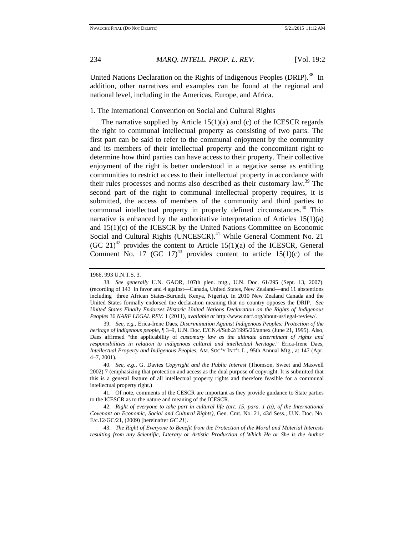United Nations Declaration on the Rights of Indigenous Peoples (DRIP).<sup>38</sup> In addition, other narratives and examples can be found at the regional and national level, including in the Americas, Europe, and Africa.

#### 1. The International Convention on Social and Cultural Rights

The narrative supplied by Article  $15(1)(a)$  and (c) of the ICESCR regards the right to communal intellectual property as consisting of two parts. The first part can be said to refer to the communal enjoyment by the community and its members of their intellectual property and the concomitant right to determine how third parties can have access to their property. Their collective enjoyment of the right is better understood in a negative sense as entitling communities to restrict access to their intellectual property in accordance with their rules processes and norms also described as their customary law.39 The second part of the right to communal intellectual property requires, it is submitted, the access of members of the community and third parties to communal intellectual property in properly defined circumstances.<sup>40</sup> This narrative is enhanced by the authoritative interpretation of Articles  $15(1)(a)$ and 15(1)(c) of the ICESCR by the United Nations Committee on Economic Social and Cultural Rights (UNCESCR).<sup>41</sup> While General Comment No. 21 (GC 21)<sup>42</sup> provides the content to Article 15(1)(a) of the ICESCR, General Comment No. 17 (GC 17)<sup>43</sup> provides content to article 15(1)(c) of the

<sup>1966, 993</sup> U.N.T.S. 3.

<sup>38.</sup> *See generally* U.N. GAOR, 107th plen. mtg., U.N. Doc. 61/295 (Sept. 13, 2007). (recording of 143 in favor and 4 against—Canada, United States, New Zealand—and 11 abstentions including three African States-Burundi, Kenya, Nigeria). In 2010 New Zealand Canada and the United States formally endorsed the declaration meaning that no country opposes the DRIP. *See United States Finally Endorses Historic United Nations Declaration on the Rights of Indigenous Peoples* 36 *NARF LEGAL REV.* 1 (2011), *available at* http://www.narf.org/about-us/legal-review/.

<sup>39.</sup> *See, e.g.,* Erica-Irene Daes, *Discrimination Against Indigenous Peoples: Protection of the heritage of indigenous people*, ¶ 3–9, U.N. Doc. E/CN.4/Sub.2/1995/26/annex (June 21, 1995). Also, Daes affirmed "the applicability of *customary law as the ultimate determinant of rights and responsibilities in relation to indigenous cultural and intellectual heritage*." Erica-Irene Daes, *Intellectual Property and Indigenous Peoples*, AM. SOC'Y INT'L L., 95th Annual Mtg., at 147 (Apr. 4–7, 2001).

<sup>40.</sup> *See, e.g.*, G. Davies *Copyright and the Public Interest* (Thomson, Sweet and Maxwell 2002) 7 (emphasizing that protection and access as the dual purpose of copyright. It is submitted that this is a general feature of all intellectual property rights and therefore feasible for a communal intellectual property right.)

<sup>41.</sup> Of note, comments of the CESCR are important as they provide guidance to State parties to the ICESCR as to the nature and meaning of the ICESCR.

<sup>42.</sup> *Right of everyone to take part in cultural life (art. 15, para. 1 (a), of the International Covenant on Economic, Social and Cultural Rights)*, Gen. Cmt. No. 21, 43d Sess., U.N. Doc. No. E/c.12/GC/21, (2009) [hereinafter *GC 21*].

<sup>43.</sup> *The Right of Everyone to Benefit from the Protection of the Moral and Material Interests resulting from any Scientific, Literary or Artistic Production of Which He or She is the Author*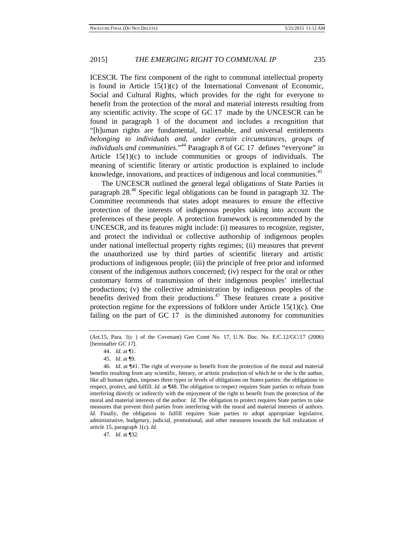ICESCR. The first component of the right to communal intellectual property is found in Article  $15(1)(c)$  of the International Convenant of Economic, Social and Cultural Rights, which provides for the right for everyone to benefit from the protection of the moral and material interests resulting from any scientific activity. The scope of GC 17 made by the UNCESCR can be found in paragraph 1 of the document and includes a recognition that "[h]uman rights are fundamental, inalienable, and universal entitlements *belonging to individuals and, under certain circumstances, groups of individuals and communities*."44 Paragraph 8 of GC 17 defines "everyone" in Article 15(1)(c) to include communities or groups of individuals. The meaning of scientific literary or artistic production is explained to include knowledge, innovations, and practices of indigenous and local communities.<sup>45</sup>

The UNCESCR outlined the general legal obligations of State Parties in paragraph 28.46 Specific legal obligations can be found in paragraph 32. The Committee recommends that states adopt measures to ensure the effective protection of the interests of indigenous peoples taking into account the preferences of these people. A protection framework is recommended by the UNCESCR, and its features might include: (i) measures to recognize, register, and protect the individual or collective authorship of indigenous peoples under national intellectual property rights regimes; (ii) measures that prevent the unauthorized use by third parties of scientific literary and artistic productions of indigenous people; (iii) the principle of free prior and informed consent of the indigenous authors concerned; (iv) respect for the oral or other customary forms of transmission of their indigenous peoples' intellectual productions; (v) the collective administration by indigenous peoples of the benefits derived from their productions.<sup>47</sup> These features create a positive protection regime for the expressions of folklore under Article 15(1)(c). One failing on the part of GC 17 is the diminished autonomy for communities

47. *Id*. at ¶32.

<sup>(</sup>Art.15, Para. 1(c ) of the Covenant) Gen Comt No. 17, U.N. Doc. No. E/C.12/GC/17 (2006) [hereinafter *GC 17*].

<sup>44.</sup> *Id*. at ¶1.

<sup>45.</sup> *Id*. at ¶9.

<sup>46.</sup> *Id.* at ¶41. The right of everyone to benefit from the protection of the moral and material benefits resulting from any scientific, literary, or artistic production of which he or she is the author, like all human rights, imposes three types or levels of obligations on States parties: the obligations to respect, protect, and fulfill. *Id.* at ¶48. The obligation to respect requires State parties to refrain from interfering directly or indirectly with the enjoyment of the right to benefit from the protection of the moral and material interests of the author. *Id.* The obligation to protect requires State parties to take measures that prevent third parties from interfering with the moral and material interests of authors. *Id.* Finally, the obligation to fulfill requires State parties to adopt appropriate legislative, administrative, budgetary, judicial, promotional, and other measures towards the full realization of article 15, paragraph 1(c). *Id.*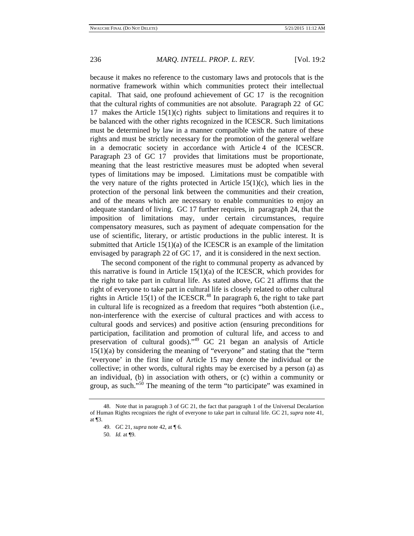because it makes no reference to the customary laws and protocols that is the normative framework within which communities protect their intellectual capital. That said, one profound achievement of GC 17 is the recognition that the cultural rights of communities are not absolute. Paragraph 22 of GC 17 makes the Article 15(1)(c) rights subject to limitations and requires it to be balanced with the other rights recognized in the ICESCR. Such limitations must be determined by law in a manner compatible with the nature of these rights and must be strictly necessary for the promotion of the general welfare in a democratic society in accordance with Article 4 of the ICESCR. Paragraph 23 of GC 17 provides that limitations must be proportionate, meaning that the least restrictive measures must be adopted when several types of limitations may be imposed. Limitations must be compatible with the very nature of the rights protected in Article  $15(1)(c)$ , which lies in the protection of the personal link between the communities and their creation, and of the means which are necessary to enable communities to enjoy an adequate standard of living. GC 17 further requires, in paragraph 24, that the imposition of limitations may, under certain circumstances, require compensatory measures, such as payment of adequate compensation for the use of scientific, literary, or artistic productions in the public interest. It is submitted that Article  $15(1)(a)$  of the ICESCR is an example of the limitation envisaged by paragraph 22 of GC 17, and it is considered in the next section.

The second component of the right to communal property as advanced by this narrative is found in Article  $15(1)(a)$  of the ICESCR, which provides for the right to take part in cultural life. As stated above, GC 21 affirms that the right of everyone to take part in cultural life is closely related to other cultural rights in Article 15(1) of the ICESCR.<sup>48</sup> In paragraph 6, the right to take part in cultural life is recognized as a freedom that requires "both abstention (i.e., non-interference with the exercise of cultural practices and with access to cultural goods and services) and positive action (ensuring preconditions for participation, facilitation and promotion of cultural life, and access to and preservation of cultural goods)."49 GC 21 began an analysis of Article 15(1)(a) by considering the meaning of "everyone" and stating that the "term 'everyone' in the first line of Article 15 may denote the individual or the collective; in other words, cultural rights may be exercised by a person (a) as an individual, (b) in association with others, or (c) within a community or group, as such."50 The meaning of the term "to participate" was examined in

<sup>48.</sup> Note that in paragraph 3 of GC 21, the fact that paragraph 1 of the Universal Decalartion of Human Rights recognizes the right of everyone to take part in cultural life. GC 21, *supra* note 41, at ¶3.

<sup>49.</sup> GC 21, *supra* note 42, at ¶ 6.

<sup>50.</sup> *Id.* at ¶9.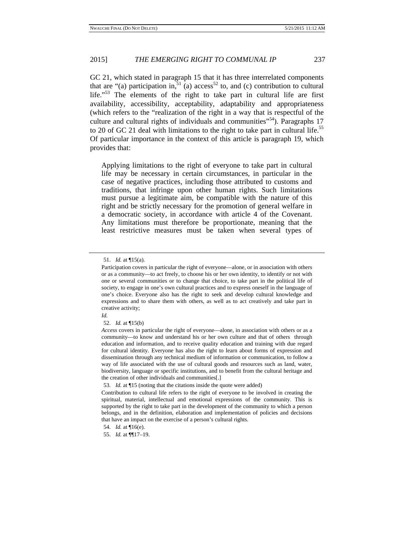GC 21, which stated in paragraph 15 that it has three interrelated components that are "(a) participation in,  $51$  (a) access  $52$  to, and (c) contribution to cultural life."53 The elements of the right to take part in cultural life are first availability, accessibility, acceptability, adaptability and appropriateness (which refers to the "realization of the right in a way that is respectful of the culture and cultural rights of individuals and communities"<sup>54</sup>). Paragraphs 17 to 20 of GC 21 deal with limitations to the right to take part in cultural life.<sup>55</sup> Of particular importance in the context of this article is paragraph 19, which provides that:

Applying limitations to the right of everyone to take part in cultural life may be necessary in certain circumstances, in particular in the case of negative practices, including those attributed to customs and traditions, that infringe upon other human rights. Such limitations must pursue a legitimate aim, be compatible with the nature of this right and be strictly necessary for the promotion of general welfare in a democratic society, in accordance with article 4 of the Covenant. Any limitations must therefore be proportionate, meaning that the least restrictive measures must be taken when several types of

*Id.*

52. *Id.* at ¶15(b)

*Access* covers in particular the right of everyone—alone, in association with others or as a community—to know and understand his or her own culture and that of others through education and information, and to receive quality education and training with due regard for cultural identity. Everyone has also the right to learn about forms of expression and dissemination through any technical medium of information or communication, to follow a way of life associated with the use of cultural goods and resources such as land, water, biodiversity, language or specific institutions, and to benefit from the cultural heritage and the creation of other individuals and communities[.]

53. *Id.* at ¶15 (noting that the citations inside the quote were added)

Contribution to cultural life refers to the right of everyone to be involved in creating the spiritual, material, intellectual and emotional expressions of the community. This is supported by the right to take part in the development of the community to which a person belongs, and in the definition, elaboration and implementation of policies and decisions that have an impact on the exercise of a person's cultural rights.

54. *Id.* at ¶16(e).

55. *Id.* at ¶¶17–19.

<sup>51.</sup> *Id.* at ¶15(a).

Participation covers in particular the right of everyone—alone, or in association with others or as a community—to act freely, to choose his or her own identity, to identify or not with one or several communities or to change that choice, to take part in the political life of society, to engage in one's own cultural practices and to express oneself in the language of one's choice. Everyone also has the right to seek and develop cultural knowledge and expressions and to share them with others, as well as to act creatively and take part in creative activity;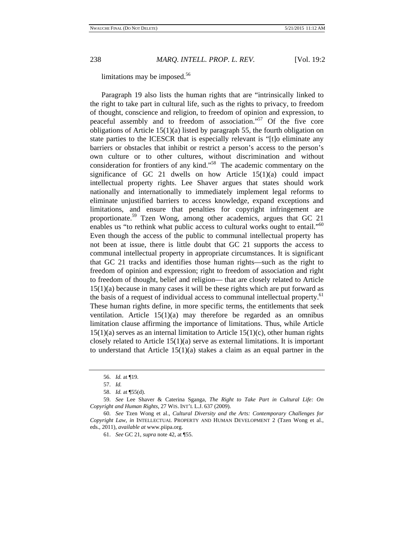limitations may be imposed.<sup>56</sup>

Paragraph 19 also lists the human rights that are "intrinsically linked to the right to take part in cultural life, such as the rights to privacy, to freedom of thought, conscience and religion, to freedom of opinion and expression, to peaceful assembly and to freedom of association."<sup>57</sup> Of the five core obligations of Article 15(1)(a) listed by paragraph 55, the fourth obligation on state parties to the ICESCR that is especially relevant is "[t]o eliminate any barriers or obstacles that inhibit or restrict a person's access to the person's own culture or to other cultures, without discrimination and without consideration for frontiers of any kind."58 The academic commentary on the significance of GC 21 dwells on how Article  $15(1)(a)$  could impact intellectual property rights. Lee Shaver argues that states should work nationally and internationally to immediately implement legal reforms to eliminate unjustified barriers to access knowledge, expand exceptions and limitations, and ensure that penalties for copyright infringement are proportionate.<sup>59</sup> Tzen Wong, among other academics, argues that GC 21 enables us "to rethink what public access to cultural works ought to entail."<sup>60</sup> Even though the access of the public to communal intellectual property has not been at issue, there is little doubt that GC 21 supports the access to communal intellectual property in appropriate circumstances. It is significant that GC 21 tracks and identifies those human rights—such as the right to freedom of opinion and expression; right to freedom of association and right to freedom of thought, belief and religion— that are closely related to Article 15(1)(a) because in many cases it will be these rights which are put forward as the basis of a request of individual access to communal intellectual property.<sup>61</sup> These human rights define, in more specific terms, the entitlements that seek ventilation. Article 15(1)(a) may therefore be regarded as an omnibus limitation clause affirming the importance of limitations. Thus, while Article  $15(1)(a)$  serves as an internal limitation to Article  $15(1)(c)$ , other human rights closely related to Article  $15(1)(a)$  serve as external limitations. It is important to understand that Article  $15(1)(a)$  stakes a claim as an equal partner in the

<sup>56.</sup> *Id.* at ¶19.

<sup>57.</sup> *Id.*

<sup>58.</sup> *Id.* at ¶55(d).

<sup>59.</sup> *See* Lee Shaver & Caterina Sganga, *The Right to Take Part in Cultural Life: On Copyright and Human Rights*, 27 WIS. INT'L L.J. 637 (2009).

<sup>60.</sup> *See* Tzen Wong et al., *Cultural Diversity and the Arts: Contemporary Challenges for Copyright Law*, *in* INTELLECTUAL PROPERTY AND HUMAN DEVELOPMENT 2 (Tzen Wong et al., eds., 2011), *available at* www.piipa.org.

<sup>61.</sup> *See* GC 21, *supra* note 42, at ¶55.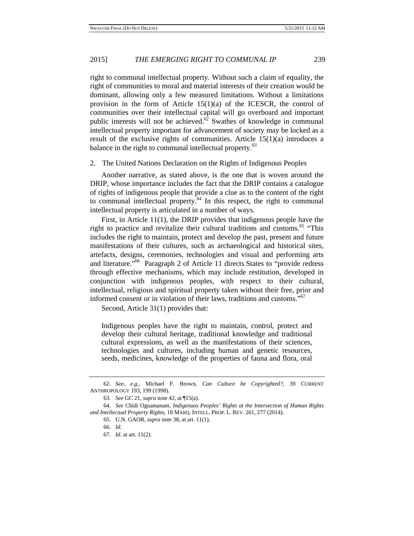right to communal intellectual property. Without such a claim of equality, the right of communities to moral and material interests of their creation would be dominant, allowing only a few measured limitations. Without a limitations provision in the form of Article  $15(1)(a)$  of the ICESCR, the control of communities over their intellectual capital will go overboard and important public interests will not be achieved. $62$  Swathes of knowledge in communal intellectual property important for advancement of society may be locked as a result of the exclusive rights of communities. Article 15(1)(a) introduces a balance in the right to communal intellectual property.<sup>63</sup>

2. The United Nations Declaration on the Rights of Indigenous Peoples

Another narrative, as stated above, is the one that is woven around the DRIP, whose importance includes the fact that the DRIP contains a catalogue of rights of indigenous people that provide a clue as to the content of the right to communal intellectual property.<sup>64</sup> In this respect, the right to communal intellectual property is articulated in a number of ways.

First, in Article 11(1), the DRIP provides that indigenous people have the right to practice and revitalize their cultural traditions and customs.<sup>65</sup> "This includes the right to maintain, protect and develop the past, present and future manifestations of their cultures, such as archaeological and historical sites, artefacts, designs, ceremonies, technologies and visual and performing arts and literature."66 Paragraph 2 of Article 11 directs States to "provide redress through effective mechanisms, which may include restitution, developed in conjunction with indigenous peoples, with respect to their cultural, intellectual, religious and spiritual property taken without their free, prior and informed consent or in violation of their laws, traditions and customs."<sup>67</sup>

Second, Article 31(1) provides that:

Indigenous peoples have the right to maintain, control, protect and develop their cultural heritage, traditional knowledge and traditional cultural expressions, as well as the manifestations of their sciences, technologies and cultures, including human and genetic resources, seeds, medicines, knowledge of the properties of fauna and flora, oral

<sup>62.</sup> *See, e.g.,* Michael F. Brown, *Can Culture be Copyrighted?*, 39 CURRENT ANTHROPOLOGY 193, 199 (1998).

<sup>63.</sup> *See* GC 21, *supra* note 42, at ¶15(a).

<sup>64.</sup> *See* Chidi Oguamanam, *Indigenuos Peoples' Rights at the Intersection of Human Rights and Intellectual Property Rights*, 18 MARQ. INTELL. PROP. L. REV. 261, 277 (2014).

<sup>65.</sup> U.N. GAOR, *supra* note 38, at art. 11(1).

<sup>66.</sup> *Id.* 

<sup>67.</sup> *Id.* at art. 11(2).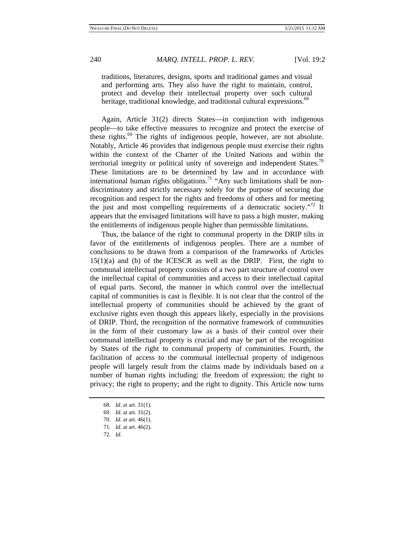traditions, literatures, designs, sports and traditional games and visual and performing arts. They also have the right to maintain, control, protect and develop their intellectual property over such cultural heritage, traditional knowledge, and traditional cultural expressions.<sup>68</sup>

Again, Article 31(2) directs States—in conjunction with indigenous people—to take effective measures to recognize and protect the exercise of these rights. $69$  The rights of indigenous people, however, are not absolute. Notably, Article 46 provides that indigenous people must exercise their rights within the context of the Charter of the United Nations and within the territorial integrity or political unity of sovereign and independent States.<sup>70</sup> These limitations are to be determined by law and in accordance with international human rights obligations.<sup>71</sup> "Any such limitations shall be nondiscriminatory and strictly necessary solely for the purpose of securing due recognition and respect for the rights and freedoms of others and for meeting the just and most compelling requirements of a democratic society."<sup>72</sup> It appears that the envisaged limitations will have to pass a high muster, making the entitlements of indigenous people higher than permissible limitations.

Thus, the balance of the right to communal property in the DRIP tilts in favor of the entitlements of indigenous peoples. There are a number of conclusions to be drawn from a comparison of the frameworks of Articles  $15(1)(a)$  and (b) of the ICESCR as well as the DRIP. First, the right to communal intellectual property consists of a two part structure of control over the intellectual capital of communities and access to their intellectual capital of equal parts. Second, the manner in which control over the intellectual capital of communities is cast is flexible. It is not clear that the control of the intellectual property of communities should be achieved by the grant of exclusive rights even though this appears likely, especially in the provisions of DRIP. Third, the recognition of the normative framework of communities in the form of their customary law as a basis of their control over their communal intellectual property is crucial and may be part of the recognition by States of the right to communal property of communities. Fourth, the facilitation of access to the communal intellectual property of indigenous people will largely result from the claims made by individuals based on a number of human rights including: the freedom of expression; the right to privacy; the right to property; and the right to dignity. This Article now turns

72. *Id.*

<sup>68.</sup> *Id.* at art. 31(1).

<sup>69.</sup> *Id.* at art. 31(2).

<sup>70.</sup> *Id.* at art. 46(1).

<sup>71.</sup> *Id.* at art. 46(2).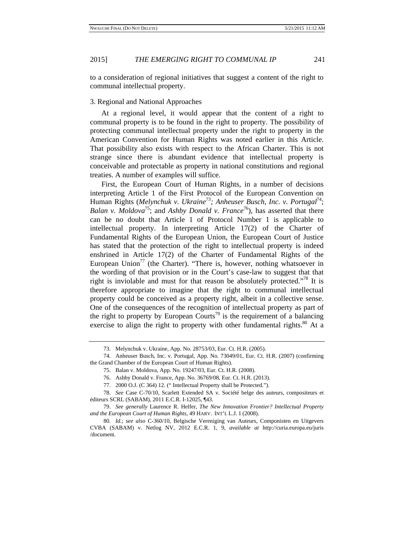to a consideration of regional initiatives that suggest a content of the right to communal intellectual property.

#### 3. Regional and National Approaches

At a regional level, it would appear that the content of a right to communal property is to be found in the right to property. The possibility of protecting communal intellectual property under the right to property in the American Convention for Human Rights was noted earlier in this Article. That possibility also exists with respect to the African Charter. This is not strange since there is abundant evidence that intellectual property is conceivable and protectable as property in national constitutions and regional treaties. A number of examples will suffice.

First, the European Court of Human Rights, in a number of decisions interpreting Article 1 of the First Protocol of the European Convention on Human Rights (*Melynchuk v. Ukraine*<sup>73</sup>*; Anheuser Busch, Inc. v. Portugal*74; *Balan v. Moldova*<sup>75</sup>; and *Ashby Donald v. France*<sup>76</sup>), has asserted that there can be no doubt that Article 1 of Protocol Number 1 is applicable to intellectual property. In interpreting Article 17(2) of the Charter of Fundamental Rights of the European Union, the European Court of Justice has stated that the protection of the right to intellectual property is indeed enshrined in Article 17(2) of the Charter of Fundamental Rights of the European Union<sup>77</sup> (the Charter). "There is, however, nothing whatsoever in the wording of that provision or in the Court's case-law to suggest that that right is inviolable and must for that reason be absolutely protected.<sup> $38$ </sup> It is therefore appropriate to imagine that the right to communal intellectual property could be conceived as a property right, albeit in a collective sense. One of the consequences of the recognition of intellectual property as part of the right to property by European Courts<sup>79</sup> is the requirement of a balancing exercise to align the right to property with other fundamental rights. $80$  At a

<sup>73.</sup> Melynchuk v. Ukraine*,* App. No. 28753/03, Eur. Ct. H.R. (2005).

<sup>74.</sup> Anheuser Busch, Inc. v. Portugal, App. No. 73049/01, Eur. Ct. H.R. (2007) (confirming the Grand Chamber of the European Court of Human Rights).

<sup>75.</sup> Balan v. Moldova, App. No. 19247/03, Eur. Ct. H.R. (2008).

<sup>76.</sup> Ashby Donald v. France, App. No. 36769/08, Eur. Ct. H.R. (2013).

<sup>77. 2000</sup> O.J. (C 364) 12. (" Intellectual Property shall be Protected.").

<sup>78.</sup> *See* Case C-70/10, Scarlett Extended SA v. Société belge des auteurs, compositeurs et éditeurs SCRL (SABAM), 2011 E.C.R. I-12025, ¶43.

<sup>79.</sup> *See generally* Laurence R. Helfer, *The New Innovation Frontier? Intellectual Property and the European Court of Human Rights*, 49 HARV. INT'L L.J. 1 (2008).

<sup>80.</sup> *Id.*; *see also* C-360/10, Belgische Vereniging van Auteurs, Componisten en Uitgevers CVBA (SABAM) v. Netlog NV, 2012 E.C.R. 1, 9, *available at* http://curia.europa.eu/juris /document.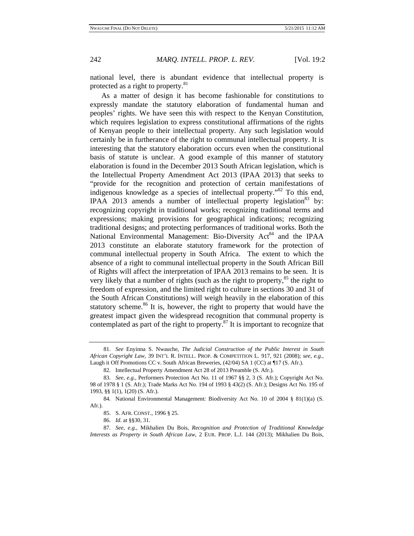national level, there is abundant evidence that intellectual property is protected as a right to property.<sup>81</sup>

As a matter of design it has become fashionable for constitutions to expressly mandate the statutory elaboration of fundamental human and peoples' rights. We have seen this with respect to the Kenyan Constitution, which requires legislation to express constitutional affirmations of the rights of Kenyan people to their intellectual property. Any such legislation would certainly be in furtherance of the right to communal intellectual property. It is interesting that the statutory elaboration occurs even when the constitutional basis of statute is unclear. A good example of this manner of statutory elaboration is found in the December 2013 South African legislation, which is the Intellectual Property Amendment Act 2013 (IPAA 2013) that seeks to "provide for the recognition and protection of certain manifestations of indigenous knowledge as a species of intellectual property."82 To this end, IPAA 2013 amends a number of intellectual property legislation<sup>83</sup> by: recognizing copyright in traditional works; recognizing traditional terms and expressions; making provisions for geographical indications; recognizing traditional designs; and protecting performances of traditional works. Both the National Environmental Management: Bio-Diversity Act<sup>84</sup> and the IPAA 2013 constitute an elaborate statutory framework for the protection of communal intellectual property in South Africa. The extent to which the absence of a right to communal intellectual property in the South African Bill of Rights will affect the interpretation of IPAA 2013 remains to be seen. It is very likely that a number of rights (such as the right to property,  $85$  the right to freedom of expression, and the limited right to culture in sections 30 and 31 of the South African Constitutions) will weigh heavily in the elaboration of this statutory scheme.<sup>86</sup> It is, however, the right to property that would have the greatest impact given the widespread recognition that communal property is contemplated as part of the right to property.<sup>87</sup> It is important to recognize that

<sup>81.</sup> *See* Enyinna S. Nwauche, *The Judicial Construction of the Public Interest in South African Copyright Law*, 39 INT'L R. INTELL. PROP. & COMPETITION L. 917, 921 (2008); *see, e.g.*, Laugh it Off Promotions CC v. South African Breweries, (42/04) SA 1 (CC) at ¶17 (S. Afr.).

<sup>82.</sup> Intellectual Property Amendment Act 28 of 2013 Preamble (S. Afr.).

<sup>83.</sup> *See, e.g.,* Performers Protection Act No. 11 of 1967 §§ 2, 3 (S. Afr.); Copyright Act No. 98 of 1978 § 1 (S. Afr.); Trade Marks Act No. 194 of 1993 § 43(2) (S. Afr.); Designs Act No. 195 of 1993, §§ 1(1), 1(20) (S. Afr.).

<sup>84.</sup> National Environmental Management: Biodiversity Act No. 10 of 2004 § 81(1)(a) (S. Afr.).

<sup>85.</sup> S. AFR. CONST., 1996 § 25.

<sup>86.</sup> *Id.* at §§30, 31.

<sup>87.</sup> *See, e.g.,* Mikhalien Du Bois, *Recognition and Protection of Traditional Knowledge Interests as Property in South African Law*, 2 EUR. PROP. L.J. 144 (2013); Mikhalien Du Bois,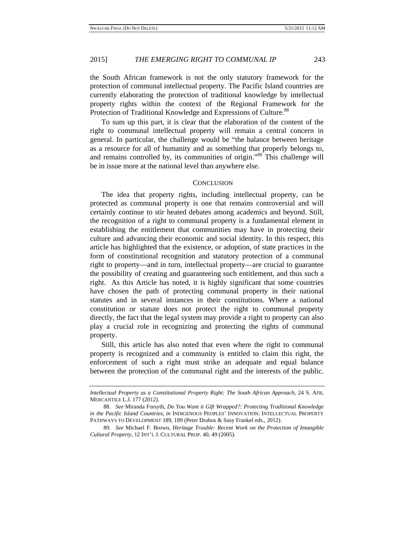the South African framework is not the only statutory framework for the protection of communal intellectual property. The Pacific Island countries are currently elaborating the protection of traditional knowledge by intellectual property rights within the context of the Regional Framework for the Protection of Traditional Knowledge and Expressions of Culture.<sup>88</sup>

To sum up this part, it is clear that the elaboration of the content of the right to communal intellectual property will remain a central concern in general. In particular, the challenge would be "the balance between heritage as a resource for all of humanity and as something that properly belongs to, and remains controlled by, its communities of origin."<sup>89</sup> This challenge will be in issue more at the national level than anywhere else.

#### **CONCLUSION**

The idea that property rights, including intellectual property, can be protected as communal property is one that remains controversial and will certainly continue to stir heated debates among academics and beyond. Still, the recognition of a right to communal property is a fundamental element in establishing the entitlement that communities may have in protecting their culture and advancing their economic and social identity. In this respect, this article has highlighted that the existence, or adoption, of state practices in the form of constitutional recognition and statutory protection of a communal right to property—and in turn, intellectual property—are crucial to guarantee the possibility of creating and guaranteeing such entitlement, and thus such a right. As this Article has noted, it is highly significant that some countries have chosen the path of protecting communal property in their national statutes and in several instances in their constitutions. Where a national constitution or statute does not protect the right to communal property directly, the fact that the legal system may provide a right to property can also play a crucial role in recognizing and protecting the rights of communal property.

Still, this article has also noted that even where the right to communal property is recognized and a community is entitled to claim this right, the enforcement of such a right must strike an adequate and equal balance between the protection of the communal right and the interests of the public.

*Intellectual Property as a Constitutional Property Right: The South African Approach*, 24 S. AFR, MERCANTILE L.J. 177 (2012).

<sup>88.</sup> *See* Miranda Forsyth, *Do You Want it Gift Wrapped?: Protecting Traditional Knowledge in the Pacific Island Countries*, *in* INDIGENOUS PEOPLES' INNOVATION: INTELLECTUAL PROPERTY PATHWAYS TO DEVELOPMENT 189, 189 (Peter Drahos & Susy Frankel eds., 2012).

<sup>89.</sup> *See* Michael F. Brown, *Heritage Trouble: Recent Work on the Protection of Intangible Cultural Property*, 12 INT'L J. CULTURAL PROP. 40, 49 (2005).